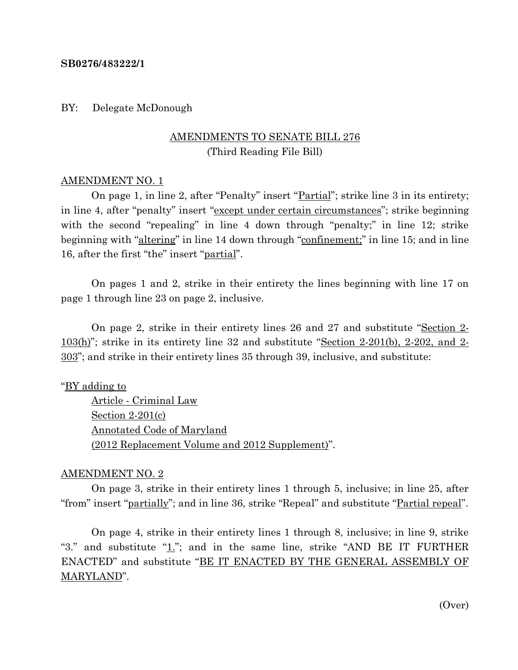#### **SB0276/483222/1**

BY: Delegate McDonough

## AMENDMENTS TO SENATE BILL 276 (Third Reading File Bill)

#### AMENDMENT NO. 1

On page 1, in line 2, after "Penalty" insert "<u>Partial</u>"; strike line 3 in its entirety; in line 4, after "penalty" insert "except under certain circumstances"; strike beginning with the second "repealing" in line 4 down through "penalty;" in line 12; strike beginning with "altering" in line 14 down through "confinement;" in line 15; and in line 16, after the first "the" insert "partial".

On pages 1 and 2, strike in their entirety the lines beginning with line 17 on page 1 through line 23 on page 2, inclusive.

On page 2, strike in their entirety lines 26 and 27 and substitute "Section 2- 103(h)"; strike in its entirety line 32 and substitute "Section 2-201(b), 2-202, and 2- 303"; and strike in their entirety lines 35 through 39, inclusive, and substitute:

"BY adding to

Article - Criminal Law Section 2-201(c) Annotated Code of Maryland (2012 Replacement Volume and 2012 Supplement)".

### AMENDMENT NO. 2

On page 3, strike in their entirety lines 1 through 5, inclusive; in line 25, after "from" insert "partially"; and in line 36, strike "Repeal" and substitute "Partial repeal".

On page 4, strike in their entirety lines 1 through 8, inclusive; in line 9, strike "3." and substitute " $1$ ."; and in the same line, strike "AND BE IT FURTHER ENACTED" and substitute "BE IT ENACTED BY THE GENERAL ASSEMBLY OF MARYLAND".

(Over)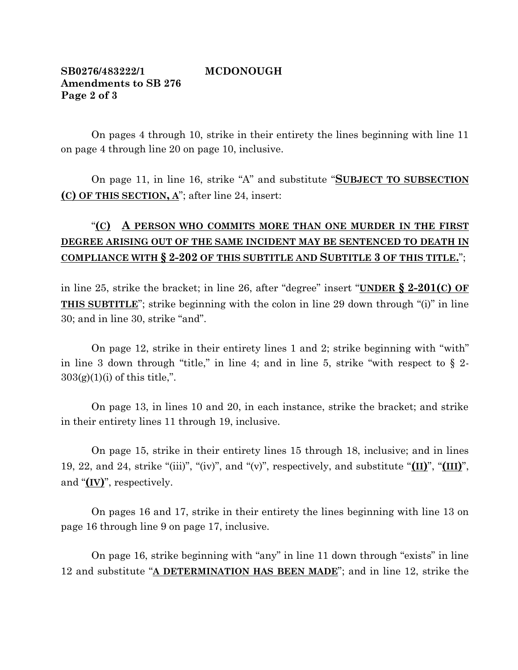## **SB0276/483222/1 MCDONOUGH Amendments to SB 276 Page 2 of 3**

On pages 4 through 10, strike in their entirety the lines beginning with line 11 on page 4 through line 20 on page 10, inclusive.

On page 11, in line 16, strike "A" and substitute "**SUBJECT TO SUBSECTION (C) OF THIS SECTION, A**"; after line 24, insert:

# "**(C) A PERSON WHO COMMITS MORE THAN ONE MURDER IN THE FIRST DEGREE ARISING OUT OF THE SAME INCIDENT MAY BE SENTENCED TO DEATH IN COMPLIANCE WITH § 2-202 OF THIS SUBTITLE AND SUBTITLE 3 OF THIS TITLE.**";

in line 25, strike the bracket; in line 26, after "degree" insert "**UNDER § 2-201(C) OF THIS SUBTITLE**"; strike beginning with the colon in line 29 down through "(i)" in line 30; and in line 30, strike "and".

On page 12, strike in their entirety lines 1 and 2; strike beginning with "with" in line 3 down through "title," in line 4; and in line 5, strike "with respect to  $\S$  2- $303(g)(1)(i)$  of this title,".

On page 13, in lines 10 and 20, in each instance, strike the bracket; and strike in their entirety lines 11 through 19, inclusive.

On page 15, strike in their entirety lines 15 through 18, inclusive; and in lines 19, 22, and 24, strike "(iii)", "(iv)", and "(v)", respectively, and substitute "**(II)**", "**(III)**", and "**(IV)**", respectively.

On pages 16 and 17, strike in their entirety the lines beginning with line 13 on page 16 through line 9 on page 17, inclusive.

On page 16, strike beginning with "any" in line 11 down through "exists" in line 12 and substitute "**A DETERMINATION HAS BEEN MADE**"; and in line 12, strike the